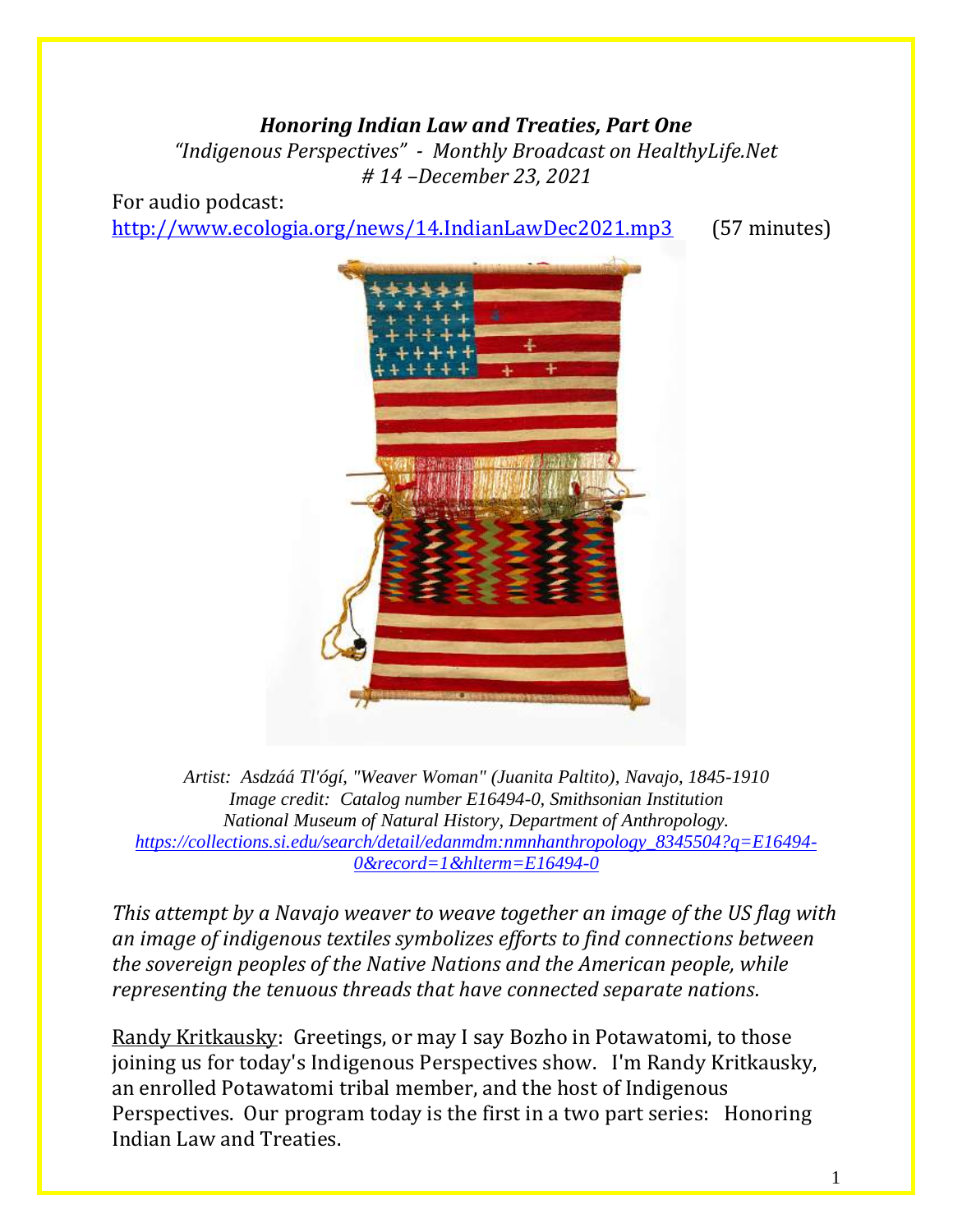#### *Honoring Indian Law and Treaties, Part One*

*"Indigenous Perspectives" - Monthly Broadcast on HealthyLife.Net # 14 –December 23, 2021*

For audio podcast: <http://www.ecologia.org/news/14.IndianLawDec2021.mp3> (57 minutes)



*Artist: Asdzáá Tl'ógí, "Weaver Woman" (Juanita Paltito), Navajo, 1845-1910 Image credit: Catalog number E16494-0, Smithsonian Institution National Museum of Natural History, Department of Anthropology. [https://collections.si.edu/search/detail/edanmdm:nmnhanthropology\\_8345504?q=E16494-](https://nam02.safelinks.protection.outlook.com/?url=https%3A%2F%2Fcollections.si.edu%2Fsearch%2Fdetail%2Fedanmdm%3Anmnhanthropology_8345504%3Fq%3DE16494-0%26record%3D1%26hlterm%3DE16494-0&data=04%7C01%7Cbeauchac%40si.edu%7Ce56c2534e0b24720127a08d9ca3e6069%7C989b5e2a14e44efe93b78cdd5fc5d11c%7C0%7C0%7C637763192118609359%7CUnknown%7CTWFpbGZsb3d8eyJWIjoiMC4wLjAwMDAiLCJQIjoiV2luMzIiLCJBTiI6Ik1haWwiLCJXVCI6Mn0%3D%7C3000&sdata=KJYgyRqzwIDQ2Pq53dA32uqXoH%2FECjBkiaJsDk%2F6SFw%3D&reserved=0) [0&record=1&hlterm=E16494-0](https://nam02.safelinks.protection.outlook.com/?url=https%3A%2F%2Fcollections.si.edu%2Fsearch%2Fdetail%2Fedanmdm%3Anmnhanthropology_8345504%3Fq%3DE16494-0%26record%3D1%26hlterm%3DE16494-0&data=04%7C01%7Cbeauchac%40si.edu%7Ce56c2534e0b24720127a08d9ca3e6069%7C989b5e2a14e44efe93b78cdd5fc5d11c%7C0%7C0%7C637763192118609359%7CUnknown%7CTWFpbGZsb3d8eyJWIjoiMC4wLjAwMDAiLCJQIjoiV2luMzIiLCJBTiI6Ik1haWwiLCJXVCI6Mn0%3D%7C3000&sdata=KJYgyRqzwIDQ2Pq53dA32uqXoH%2FECjBkiaJsDk%2F6SFw%3D&reserved=0)*

*This attempt by a Navajo weaver to weave together an image of the US flag with an image of indigenous textiles symbolizes efforts to find connections between the sovereign peoples of the Native Nations and the American people, while representing the tenuous threads that have connected separate nations.*

Randy Kritkausky: Greetings, or may I say Bozho in Potawatomi, to those joining us for today's Indigenous Perspectives show. I'm Randy Kritkausky, an enrolled Potawatomi tribal member, and the host of Indigenous Perspectives. Our program today is the first in a two part series: Honoring Indian Law and Treaties.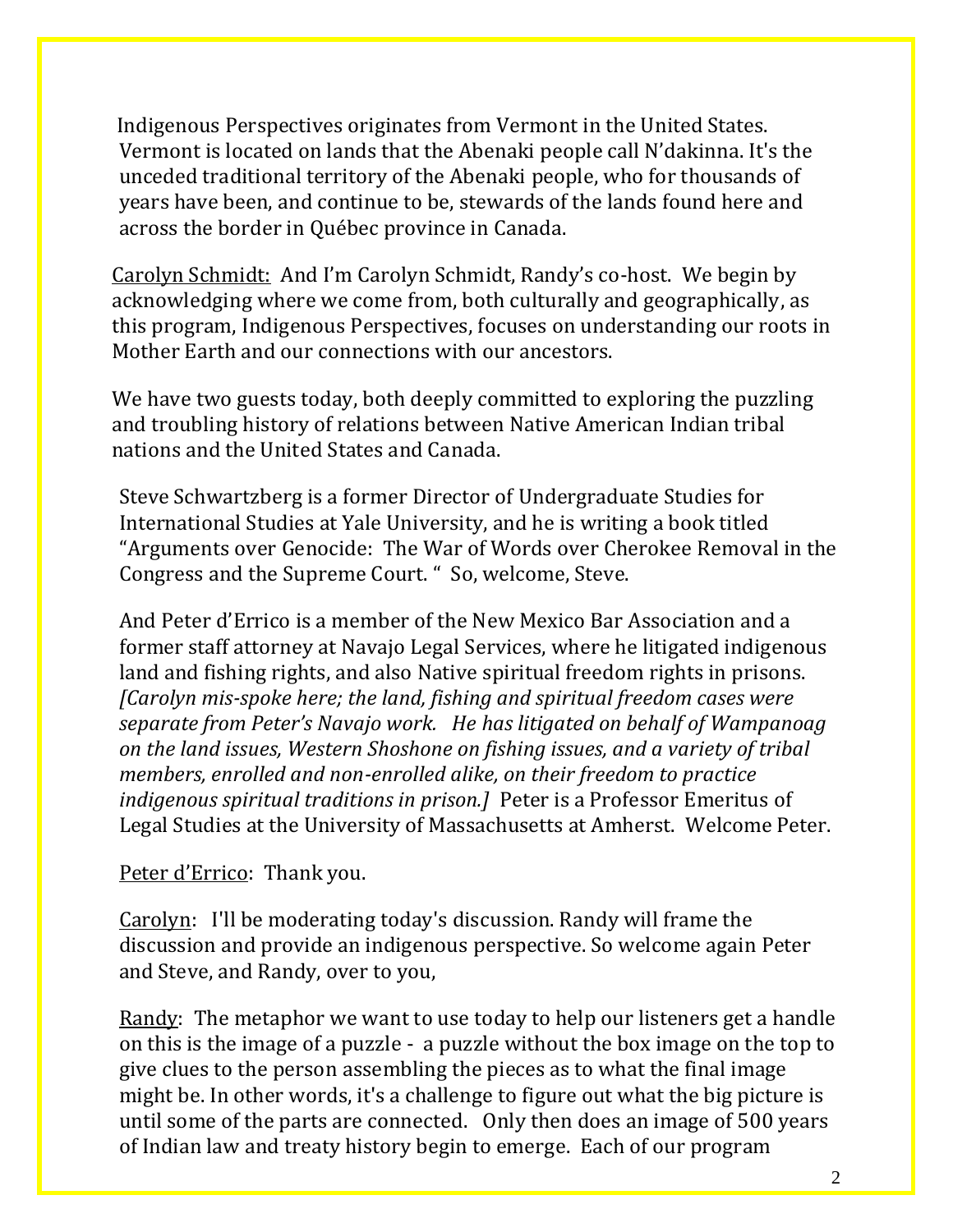Indigenous Perspectives originates from Vermont in the United States. Vermont is located on lands that the Abenaki people call N'dakinna. It's the unceded traditional territory of the Abenaki people, who for thousands of years have been, and continue to be, stewards of the lands found here and across the border in Québec province in Canada.

Carolyn Schmidt: And I'm Carolyn Schmidt, Randy's co-host. We begin by acknowledging where we come from, both culturally and geographically, as this program, Indigenous Perspectives, focuses on understanding our roots in Mother Earth and our connections with our ancestors.

We have two guests today, both deeply committed to exploring the puzzling and troubling history of relations between Native American Indian tribal nations and the United States and Canada.

Steve Schwartzberg is a former Director of Undergraduate Studies for International Studies at Yale University, and he is writing a book titled "Arguments over Genocide: The War of Words over Cherokee Removal in the Congress and the Supreme Court. " So, welcome, Steve.

And Peter d'Errico is a member of the New Mexico Bar Association and a former staff attorney at Navajo Legal Services, where he litigated indigenous land and fishing rights, and also Native spiritual freedom rights in prisons. *[Carolyn mis-spoke here; the land, fishing and spiritual freedom cases were separate from Peter's Navajo work. He has litigated on behalf of Wampanoag on the land issues, Western Shoshone on fishing issues, and a variety of tribal members, enrolled and non-enrolled alike, on their freedom to practice indigenous spiritual traditions in prison.]* Peter is a Professor Emeritus of Legal Studies at the University of Massachusetts at Amherst. Welcome Peter.

#### Peter d'Errico: Thank you.

Carolyn: I'll be moderating today's discussion. Randy will frame the discussion and provide an indigenous perspective. So welcome again Peter and Steve, and Randy, over to you,

Randy: The metaphor we want to use today to help our listeners get a handle on this is the image of a puzzle - a puzzle without the box image on the top to give clues to the person assembling the pieces as to what the final image might be. In other words, it's a challenge to figure out what the big picture is until some of the parts are connected. Only then does an image of 500 years of Indian law and treaty history begin to emerge. Each of our program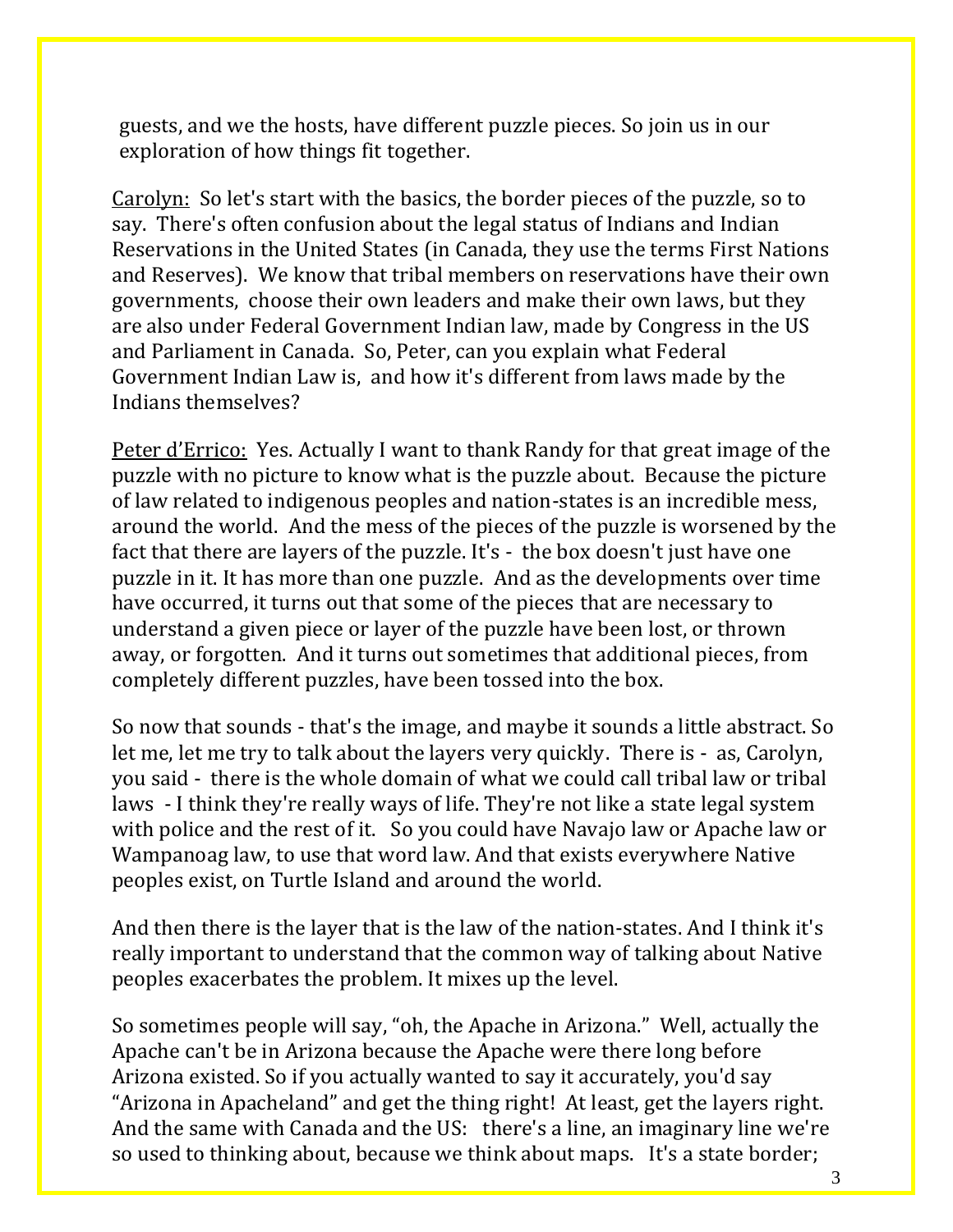guests, and we the hosts, have different puzzle pieces. So join us in our exploration of how things fit together.

Carolyn: So let's start with the basics, the border pieces of the puzzle, so to say. There's often confusion about the legal status of Indians and Indian Reservations in the United States (in Canada, they use the terms First Nations and Reserves). We know that tribal members on reservations have their own governments, choose their own leaders and make their own laws, but they are also under Federal Government Indian law, made by Congress in the US and Parliament in Canada. So, Peter, can you explain what Federal Government Indian Law is, and how it's different from laws made by the Indians themselves?

Peter d'Errico: Yes. Actually I want to thank Randy for that great image of the puzzle with no picture to know what is the puzzle about. Because the picture of law related to indigenous peoples and nation-states is an incredible mess, around the world. And the mess of the pieces of the puzzle is worsened by the fact that there are layers of the puzzle. It's - the box doesn't just have one puzzle in it. It has more than one puzzle. And as the developments over time have occurred, it turns out that some of the pieces that are necessary to understand a given piece or layer of the puzzle have been lost, or thrown away, or forgotten. And it turns out sometimes that additional pieces, from completely different puzzles, have been tossed into the box.

So now that sounds - that's the image, and maybe it sounds a little abstract. So let me, let me try to talk about the layers very quickly. There is - as, Carolyn, you said - there is the whole domain of what we could call tribal law or tribal laws - I think they're really ways of life. They're not like a state legal system with police and the rest of it. So you could have Navajo law or Apache law or Wampanoag law, to use that word law. And that exists everywhere Native peoples exist, on Turtle Island and around the world.

And then there is the layer that is the law of the nation-states. And I think it's really important to understand that the common way of talking about Native peoples exacerbates the problem. It mixes up the level.

So sometimes people will say, "oh, the Apache in Arizona." Well, actually the Apache can't be in Arizona because the Apache were there long before Arizona existed. So if you actually wanted to say it accurately, you'd say "Arizona in Apacheland" and get the thing right! At least, get the layers right. And the same with Canada and the US: there's a line, an imaginary line we're so used to thinking about, because we think about maps. It's a state border;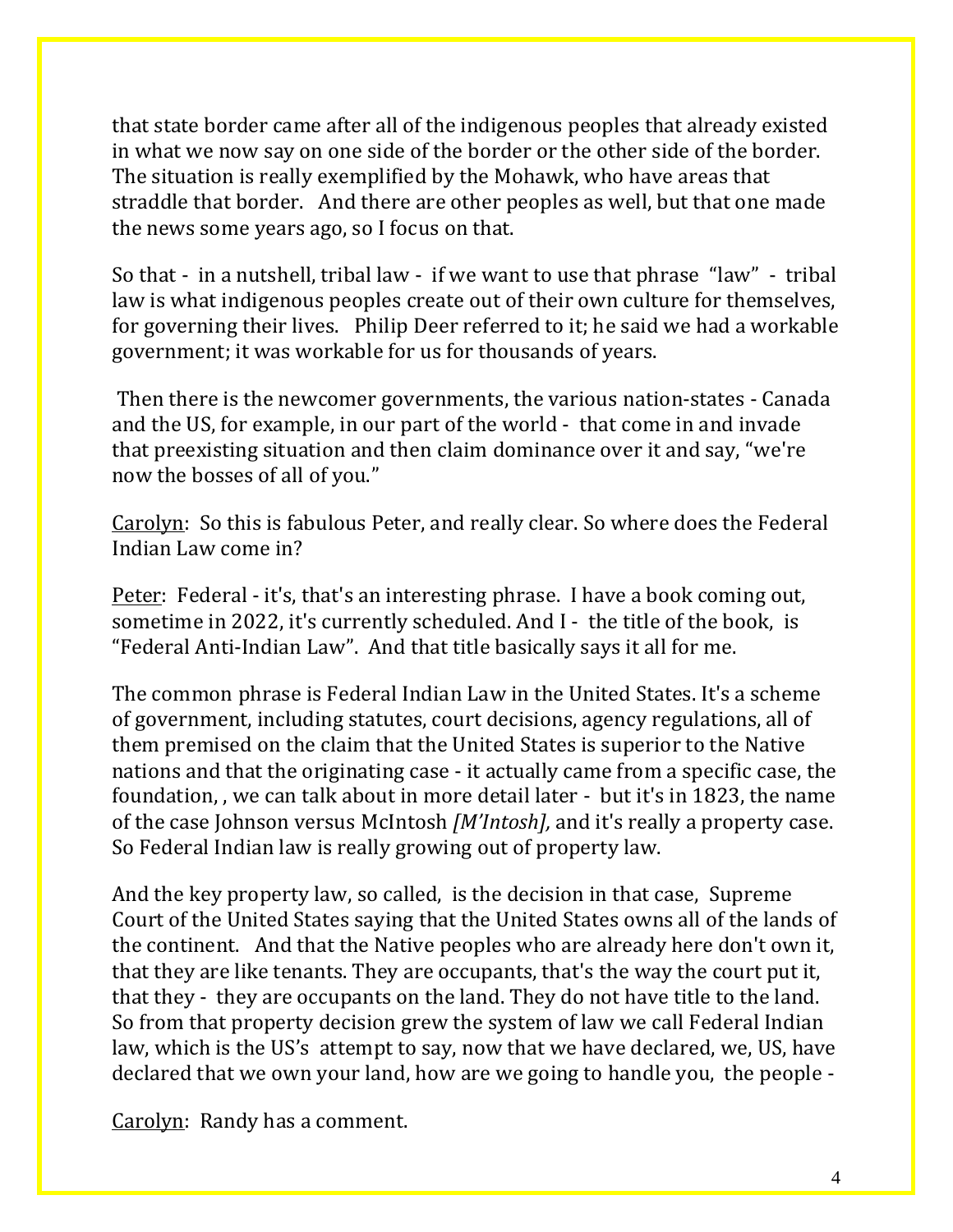that state border came after all of the indigenous peoples that already existed in what we now say on one side of the border or the other side of the border. The situation is really exemplified by the Mohawk, who have areas that straddle that border. And there are other peoples as well, but that one made the news some years ago, so I focus on that.

So that - in a nutshell, tribal law - if we want to use that phrase "law" - tribal law is what indigenous peoples create out of their own culture for themselves, for governing their lives. Philip Deer referred to it; he said we had a workable government; it was workable for us for thousands of years.

Then there is the newcomer governments, the various nation-states - Canada and the US, for example, in our part of the world - that come in and invade that preexisting situation and then claim dominance over it and say, "we're now the bosses of all of you."

Carolyn: So this is fabulous Peter, and really clear. So where does the Federal Indian Law come in?

Peter: Federal - it's, that's an interesting phrase. I have a book coming out, sometime in 2022, it's currently scheduled. And I - the title of the book, is "Federal Anti-Indian Law". And that title basically says it all for me.

The common phrase is Federal Indian Law in the United States. It's a scheme of government, including statutes, court decisions, agency regulations, all of them premised on the claim that the United States is superior to the Native nations and that the originating case - it actually came from a specific case, the foundation, , we can talk about in more detail later - but it's in 1823, the name of the case Johnson versus McIntosh *[M'Intosh],* and it's really a property case. So Federal Indian law is really growing out of property law.

And the key property law, so called, is the decision in that case, Supreme Court of the United States saying that the United States owns all of the lands of the continent. And that the Native peoples who are already here don't own it, that they are like tenants. They are occupants, that's the way the court put it, that they - they are occupants on the land. They do not have title to the land. So from that property decision grew the system of law we call Federal Indian law, which is the US's attempt to say, now that we have declared, we, US, have declared that we own your land, how are we going to handle you, the people -

Carolyn: Randy has a comment.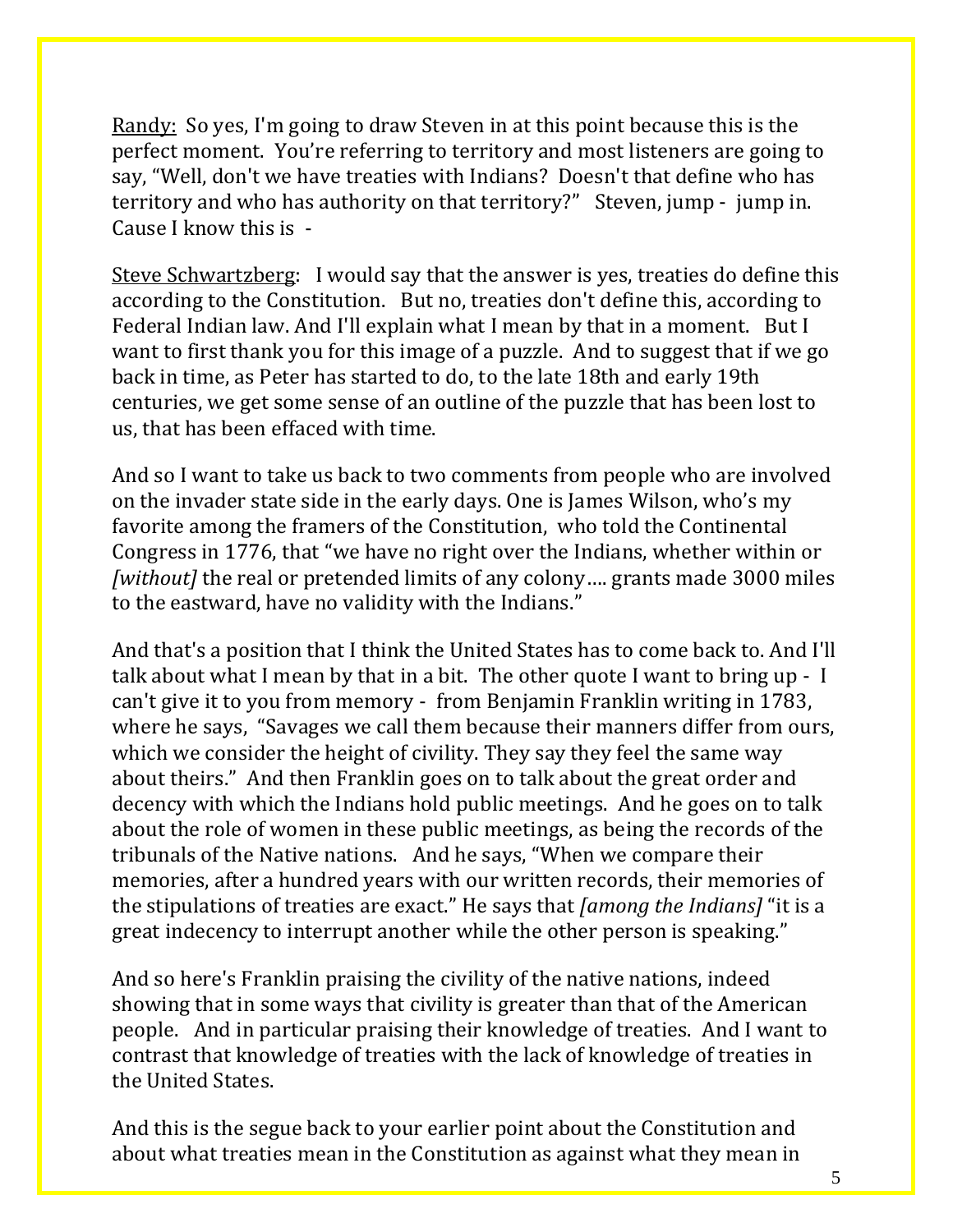Randy: So yes, I'm going to draw Steven in at this point because this is the perfect moment. You're referring to territory and most listeners are going to say, "Well, don't we have treaties with Indians? Doesn't that define who has territory and who has authority on that territory?" Steven, jump - jump in. Cause I know this is -

Steve Schwartzberg: I would say that the answer is yes, treaties do define this according to the Constitution. But no, treaties don't define this, according to Federal Indian law. And I'll explain what I mean by that in a moment. But I want to first thank you for this image of a puzzle. And to suggest that if we go back in time, as Peter has started to do, to the late 18th and early 19th centuries, we get some sense of an outline of the puzzle that has been lost to us, that has been effaced with time.

And so I want to take us back to two comments from people who are involved on the invader state side in the early days. One is James Wilson, who's my favorite among the framers of the Constitution, who told the Continental Congress in 1776, that "we have no right over the Indians, whether within or *[without]* the real or pretended limits of any colony…. grants made 3000 miles to the eastward, have no validity with the Indians."

And that's a position that I think the United States has to come back to. And I'll talk about what I mean by that in a bit. The other quote I want to bring up - I can't give it to you from memory - from Benjamin Franklin writing in 1783, where he says, "Savages we call them because their manners differ from ours, which we consider the height of civility. They say they feel the same way about theirs." And then Franklin goes on to talk about the great order and decency with which the Indians hold public meetings. And he goes on to talk about the role of women in these public meetings, as being the records of the tribunals of the Native nations. And he says, "When we compare their memories, after a hundred years with our written records, their memories of the stipulations of treaties are exact." He says that *[among the Indians]* "it is a great indecency to interrupt another while the other person is speaking."

And so here's Franklin praising the civility of the native nations, indeed showing that in some ways that civility is greater than that of the American people. And in particular praising their knowledge of treaties. And I want to contrast that knowledge of treaties with the lack of knowledge of treaties in the United States.

And this is the segue back to your earlier point about the Constitution and about what treaties mean in the Constitution as against what they mean in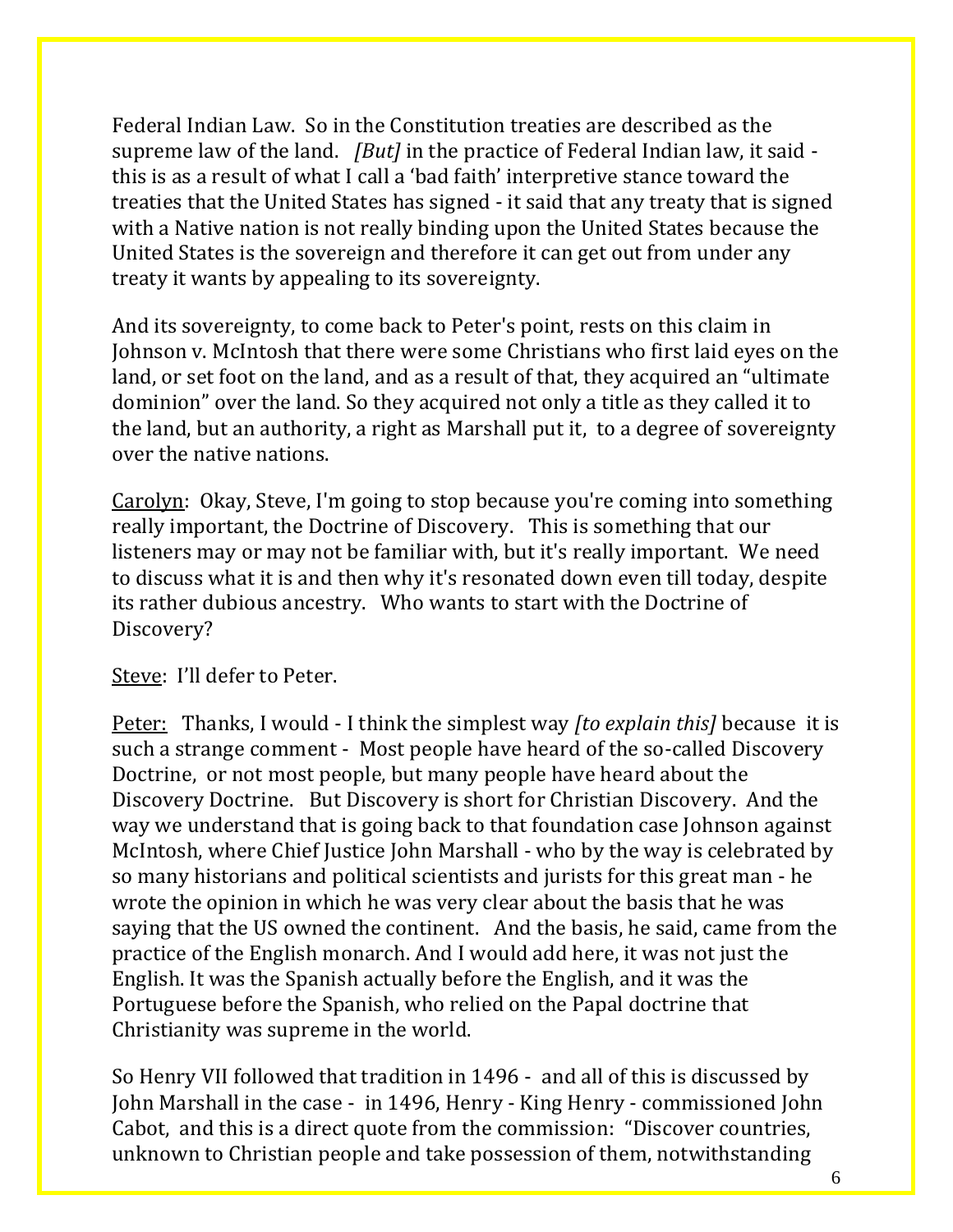Federal Indian Law. So in the Constitution treaties are described as the supreme law of the land. *[But]* in the practice of Federal Indian law, it said this is as a result of what I call a 'bad faith' interpretive stance toward the treaties that the United States has signed - it said that any treaty that is signed with a Native nation is not really binding upon the United States because the United States is the sovereign and therefore it can get out from under any treaty it wants by appealing to its sovereignty.

And its sovereignty, to come back to Peter's point, rests on this claim in Johnson v. McIntosh that there were some Christians who first laid eyes on the land, or set foot on the land, and as a result of that, they acquired an "ultimate dominion" over the land. So they acquired not only a title as they called it to the land, but an authority, a right as Marshall put it, to a degree of sovereignty over the native nations.

Carolyn: Okay, Steve, I'm going to stop because you're coming into something really important, the Doctrine of Discovery. This is something that our listeners may or may not be familiar with, but it's really important. We need to discuss what it is and then why it's resonated down even till today, despite its rather dubious ancestry. Who wants to start with the Doctrine of Discovery?

Steve: I'll defer to Peter.

Peter: Thanks, I would - I think the simplest way *[to explain this]* because it is such a strange comment - Most people have heard of the so-called Discovery Doctrine, or not most people, but many people have heard about the Discovery Doctrine. But Discovery is short for Christian Discovery. And the way we understand that is going back to that foundation case Johnson against McIntosh, where Chief Justice John Marshall - who by the way is celebrated by so many historians and political scientists and jurists for this great man - he wrote the opinion in which he was very clear about the basis that he was saying that the US owned the continent. And the basis, he said, came from the practice of the English monarch. And I would add here, it was not just the English. It was the Spanish actually before the English, and it was the Portuguese before the Spanish, who relied on the Papal doctrine that Christianity was supreme in the world.

So Henry VII followed that tradition in 1496 - and all of this is discussed by John Marshall in the case - in 1496, Henry - King Henry - commissioned John Cabot, and this is a direct quote from the commission: "Discover countries, unknown to Christian people and take possession of them, notwithstanding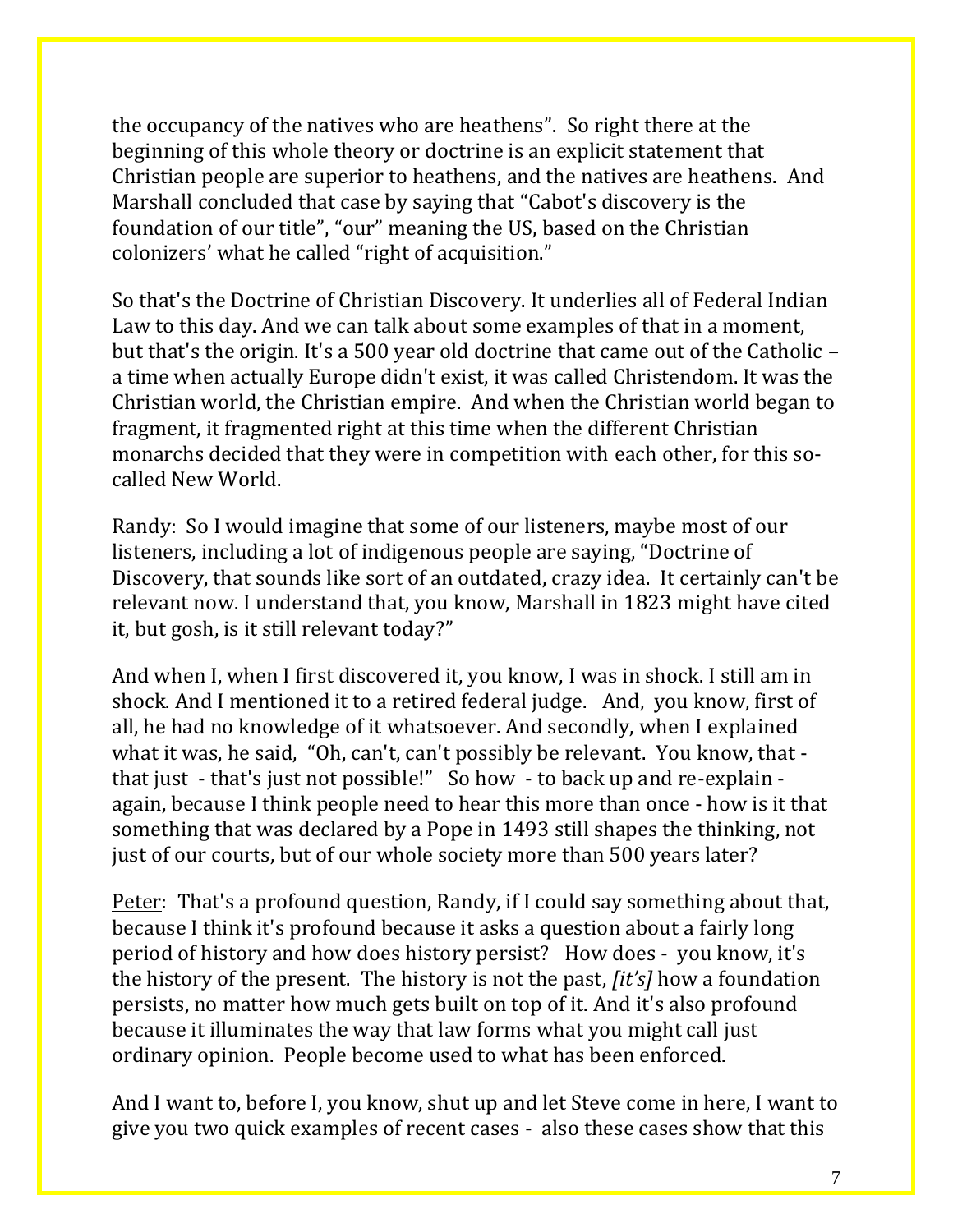the occupancy of the natives who are heathens". So right there at the beginning of this whole theory or doctrine is an explicit statement that Christian people are superior to heathens, and the natives are heathens. And Marshall concluded that case by saying that "Cabot's discovery is the foundation of our title", "our" meaning the US, based on the Christian colonizers' what he called "right of acquisition."

So that's the Doctrine of Christian Discovery. It underlies all of Federal Indian Law to this day. And we can talk about some examples of that in a moment, but that's the origin. It's a 500 year old doctrine that came out of the Catholic – a time when actually Europe didn't exist, it was called Christendom. It was the Christian world, the Christian empire. And when the Christian world began to fragment, it fragmented right at this time when the different Christian monarchs decided that they were in competition with each other, for this socalled New World.

Randy: So I would imagine that some of our listeners, maybe most of our listeners, including a lot of indigenous people are saying, "Doctrine of Discovery, that sounds like sort of an outdated, crazy idea. It certainly can't be relevant now. I understand that, you know, Marshall in 1823 might have cited it, but gosh, is it still relevant today?"

And when I, when I first discovered it, you know, I was in shock. I still am in shock. And I mentioned it to a retired federal judge. And, you know, first of all, he had no knowledge of it whatsoever. And secondly, when I explained what it was, he said, "Oh, can't, can't possibly be relevant. You know, that that just - that's just not possible!" So how - to back up and re-explain again, because I think people need to hear this more than once - how is it that something that was declared by a Pope in 1493 still shapes the thinking, not just of our courts, but of our whole society more than 500 years later?

Peter: That's a profound question, Randy, if I could say something about that, because I think it's profound because it asks a question about a fairly long period of history and how does history persist? How does - you know, it's the history of the present. The history is not the past, *[it's]* how a foundation persists, no matter how much gets built on top of it. And it's also profound because it illuminates the way that law forms what you might call just ordinary opinion. People become used to what has been enforced.

And I want to, before I, you know, shut up and let Steve come in here, I want to give you two quick examples of recent cases - also these cases show that this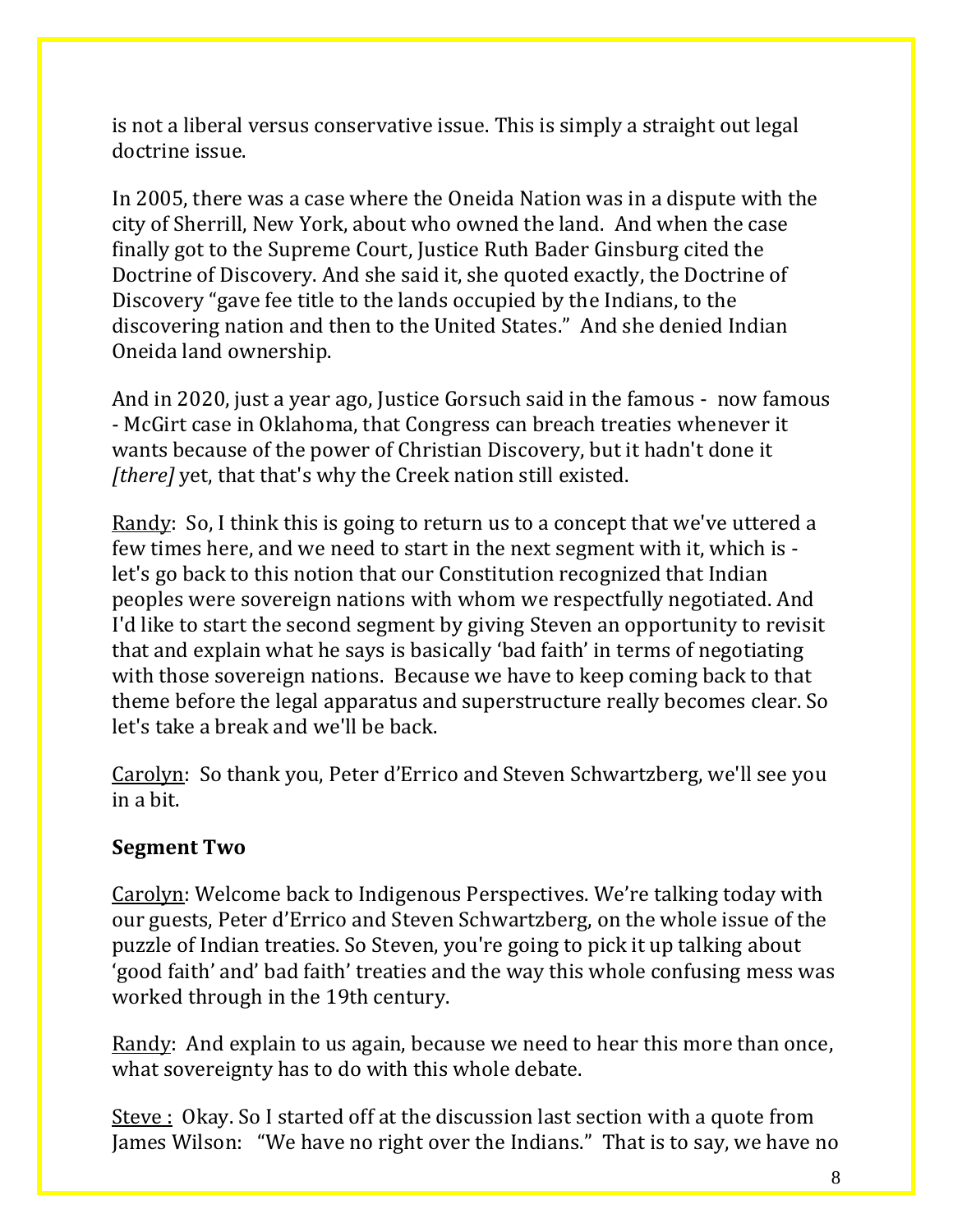is not a liberal versus conservative issue. This is simply a straight out legal doctrine issue.

In 2005, there was a case where the Oneida Nation was in a dispute with the city of Sherrill, New York, about who owned the land. And when the case finally got to the Supreme Court, Justice Ruth Bader Ginsburg cited the Doctrine of Discovery. And she said it, she quoted exactly, the Doctrine of Discovery "gave fee title to the lands occupied by the Indians, to the discovering nation and then to the United States." And she denied Indian Oneida land ownership.

And in 2020, just a year ago, Justice Gorsuch said in the famous - now famous - McGirt case in Oklahoma, that Congress can breach treaties whenever it wants because of the power of Christian Discovery, but it hadn't done it *[there]* yet, that that's why the Creek nation still existed.

Randy: So, I think this is going to return us to a concept that we've uttered a few times here, and we need to start in the next segment with it, which is let's go back to this notion that our Constitution recognized that Indian peoples were sovereign nations with whom we respectfully negotiated. And I'd like to start the second segment by giving Steven an opportunity to revisit that and explain what he says is basically 'bad faith' in terms of negotiating with those sovereign nations. Because we have to keep coming back to that theme before the legal apparatus and superstructure really becomes clear. So let's take a break and we'll be back.

Carolyn: So thank you, Peter d'Errico and Steven Schwartzberg, we'll see you in a bit.

## **Segment Two**

Carolyn: Welcome back to Indigenous Perspectives. We're talking today with our guests, Peter d'Errico and Steven Schwartzberg, on the whole issue of the puzzle of Indian treaties. So Steven, you're going to pick it up talking about 'good faith' and' bad faith' treaties and the way this whole confusing mess was worked through in the 19th century.

Randy: And explain to us again, because we need to hear this more than once, what sovereignty has to do with this whole debate.

Steve : Okay. So I started off at the discussion last section with a quote from James Wilson: "We have no right over the Indians." That is to say, we have no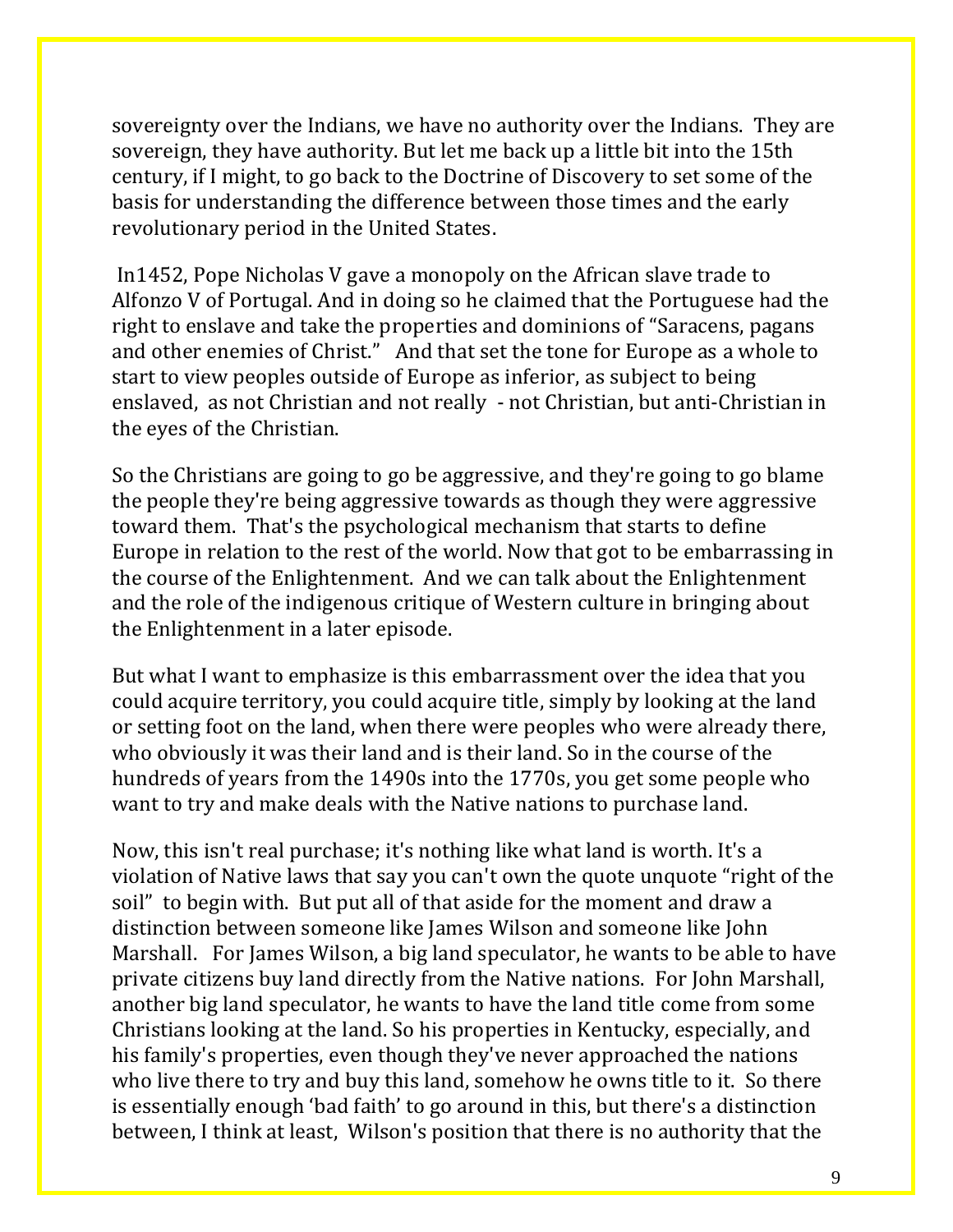sovereignty over the Indians, we have no authority over the Indians. They are sovereign, they have authority. But let me back up a little bit into the 15th century, if I might, to go back to the Doctrine of Discovery to set some of the basis for understanding the difference between those times and the early revolutionary period in the United States.

In1452, Pope Nicholas V gave a monopoly on the African slave trade to Alfonzo V of Portugal. And in doing so he claimed that the Portuguese had the right to enslave and take the properties and dominions of "Saracens, pagans and other enemies of Christ." And that set the tone for Europe as a whole to start to view peoples outside of Europe as inferior, as subject to being enslaved, as not Christian and not really - not Christian, but anti-Christian in the eyes of the Christian.

So the Christians are going to go be aggressive, and they're going to go blame the people they're being aggressive towards as though they were aggressive toward them. That's the psychological mechanism that starts to define Europe in relation to the rest of the world. Now that got to be embarrassing in the course of the Enlightenment. And we can talk about the Enlightenment and the role of the indigenous critique of Western culture in bringing about the Enlightenment in a later episode.

But what I want to emphasize is this embarrassment over the idea that you could acquire territory, you could acquire title, simply by looking at the land or setting foot on the land, when there were peoples who were already there, who obviously it was their land and is their land. So in the course of the hundreds of years from the 1490s into the 1770s, you get some people who want to try and make deals with the Native nations to purchase land.

Now, this isn't real purchase; it's nothing like what land is worth. It's a violation of Native laws that say you can't own the quote unquote "right of the soil" to begin with. But put all of that aside for the moment and draw a distinction between someone like James Wilson and someone like John Marshall. For James Wilson, a big land speculator, he wants to be able to have private citizens buy land directly from the Native nations. For John Marshall, another big land speculator, he wants to have the land title come from some Christians looking at the land. So his properties in Kentucky, especially, and his family's properties, even though they've never approached the nations who live there to try and buy this land, somehow he owns title to it. So there is essentially enough 'bad faith' to go around in this, but there's a distinction between, I think at least, Wilson's position that there is no authority that the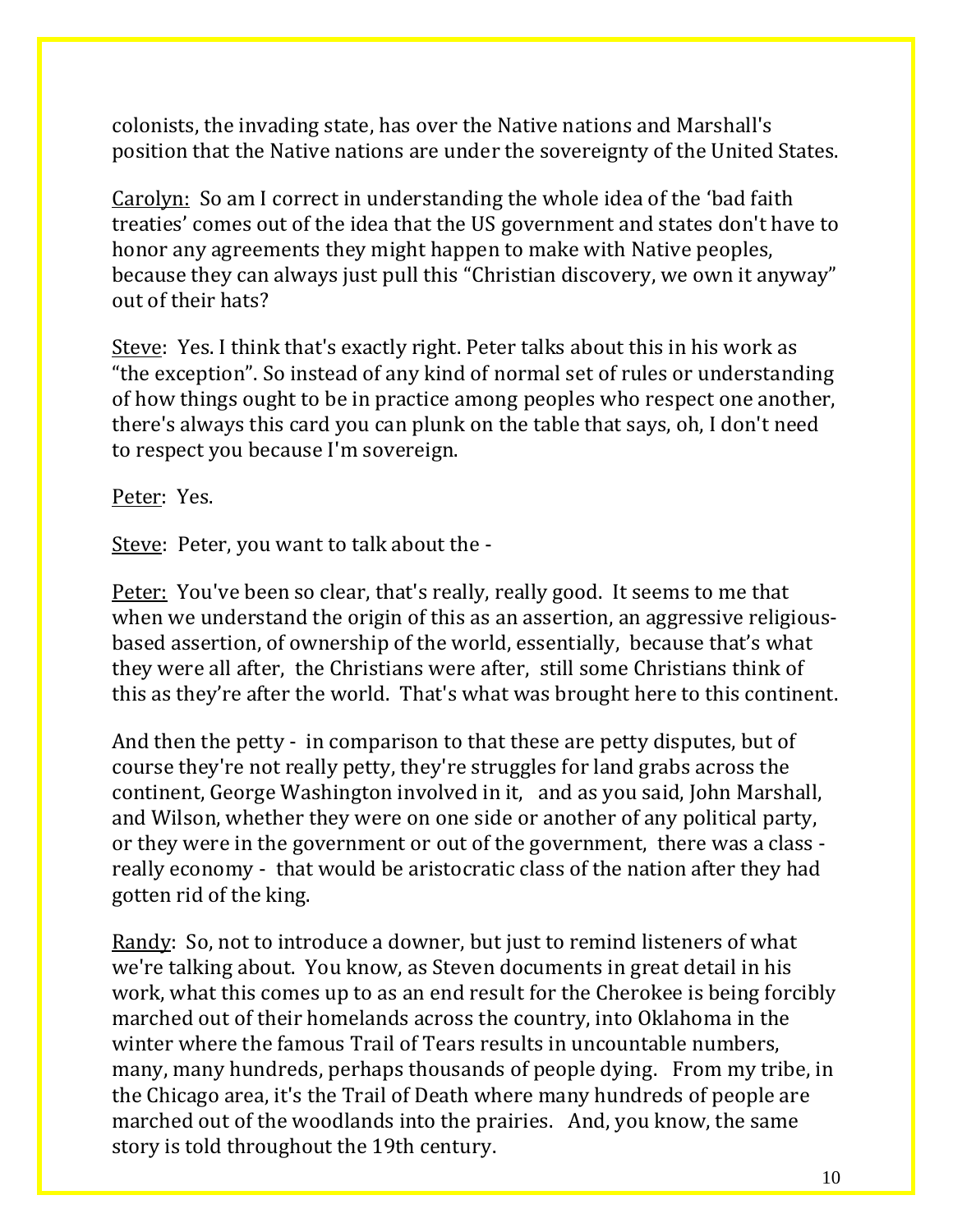colonists, the invading state, has over the Native nations and Marshall's position that the Native nations are under the sovereignty of the United States.

Carolyn: So am I correct in understanding the whole idea of the 'bad faith treaties' comes out of the idea that the US government and states don't have to honor any agreements they might happen to make with Native peoples, because they can always just pull this "Christian discovery, we own it anyway" out of their hats?

Steve: Yes. I think that's exactly right. Peter talks about this in his work as "the exception". So instead of any kind of normal set of rules or understanding of how things ought to be in practice among peoples who respect one another, there's always this card you can plunk on the table that says, oh, I don't need to respect you because I'm sovereign.

Peter: Yes.

Steve: Peter, you want to talk about the -

Peter: You've been so clear, that's really, really good. It seems to me that when we understand the origin of this as an assertion, an aggressive religiousbased assertion, of ownership of the world, essentially, because that's what they were all after, the Christians were after, still some Christians think of this as they're after the world. That's what was brought here to this continent.

And then the petty - in comparison to that these are petty disputes, but of course they're not really petty, they're struggles for land grabs across the continent, George Washington involved in it, and as you said, John Marshall, and Wilson, whether they were on one side or another of any political party, or they were in the government or out of the government, there was a class really economy - that would be aristocratic class of the nation after they had gotten rid of the king.

Randy: So, not to introduce a downer, but just to remind listeners of what we're talking about. You know, as Steven documents in great detail in his work, what this comes up to as an end result for the Cherokee is being forcibly marched out of their homelands across the country, into Oklahoma in the winter where the famous Trail of Tears results in uncountable numbers, many, many hundreds, perhaps thousands of people dying. From my tribe, in the Chicago area, it's the Trail of Death where many hundreds of people are marched out of the woodlands into the prairies. And, you know, the same story is told throughout the 19th century.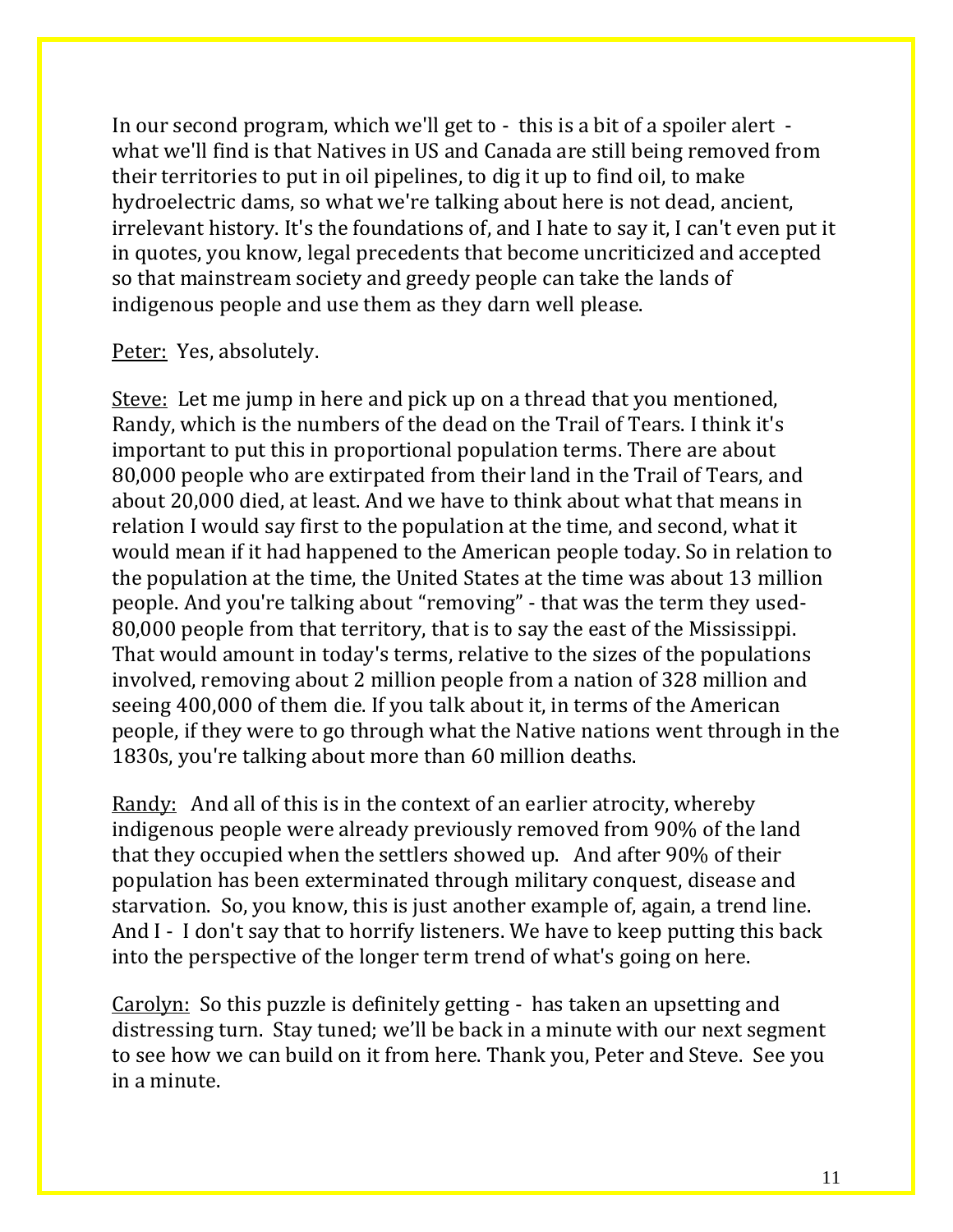In our second program, which we'll get to - this is a bit of a spoiler alert what we'll find is that Natives in US and Canada are still being removed from their territories to put in oil pipelines, to dig it up to find oil, to make hydroelectric dams, so what we're talking about here is not dead, ancient, irrelevant history. It's the foundations of, and I hate to say it, I can't even put it in quotes, you know, legal precedents that become uncriticized and accepted so that mainstream society and greedy people can take the lands of indigenous people and use them as they darn well please.

#### Peter: Yes, absolutely.

Steve: Let me jump in here and pick up on a thread that you mentioned, Randy, which is the numbers of the dead on the Trail of Tears. I think it's important to put this in proportional population terms. There are about 80,000 people who are extirpated from their land in the Trail of Tears, and about 20,000 died, at least. And we have to think about what that means in relation I would say first to the population at the time, and second, what it would mean if it had happened to the American people today. So in relation to the population at the time, the United States at the time was about 13 million people. And you're talking about "removing" - that was the term they used-80,000 people from that territory, that is to say the east of the Mississippi. That would amount in today's terms, relative to the sizes of the populations involved, removing about 2 million people from a nation of 328 million and seeing 400,000 of them die. If you talk about it, in terms of the American people, if they were to go through what the Native nations went through in the 1830s, you're talking about more than 60 million deaths.

Randy: And all of this is in the context of an earlier atrocity, whereby indigenous people were already previously removed from 90% of the land that they occupied when the settlers showed up. And after 90% of their population has been exterminated through military conquest, disease and starvation. So, you know, this is just another example of, again, a trend line. And I - I don't say that to horrify listeners. We have to keep putting this back into the perspective of the longer term trend of what's going on here.

Carolyn: So this puzzle is definitely getting - has taken an upsetting and distressing turn. Stay tuned; we'll be back in a minute with our next segment to see how we can build on it from here. Thank you, Peter and Steve. See you in a minute.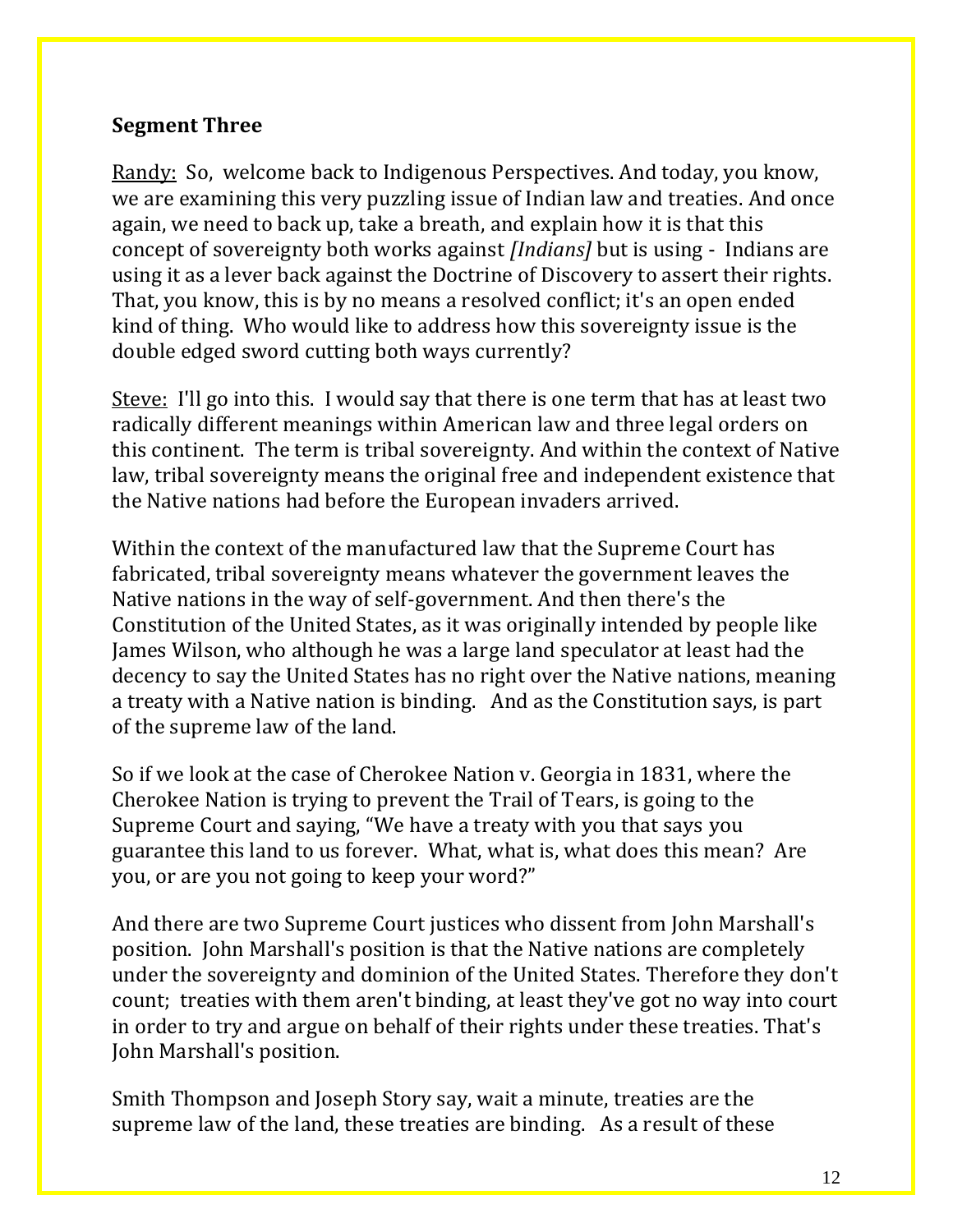## **Segment Three**

Randy: So, welcome back to Indigenous Perspectives. And today, you know, we are examining this very puzzling issue of Indian law and treaties. And once again, we need to back up, take a breath, and explain how it is that this concept of sovereignty both works against *[Indians]* but is using - Indians are using it as a lever back against the Doctrine of Discovery to assert their rights. That, you know, this is by no means a resolved conflict; it's an open ended kind of thing. Who would like to address how this sovereignty issue is the double edged sword cutting both ways currently?

Steve: I'll go into this. I would say that there is one term that has at least two radically different meanings within American law and three legal orders on this continent. The term is tribal sovereignty. And within the context of Native law, tribal sovereignty means the original free and independent existence that the Native nations had before the European invaders arrived.

Within the context of the manufactured law that the Supreme Court has fabricated, tribal sovereignty means whatever the government leaves the Native nations in the way of self-government. And then there's the Constitution of the United States, as it was originally intended by people like James Wilson, who although he was a large land speculator at least had the decency to say the United States has no right over the Native nations, meaning a treaty with a Native nation is binding. And as the Constitution says, is part of the supreme law of the land.

So if we look at the case of Cherokee Nation v. Georgia in 1831, where the Cherokee Nation is trying to prevent the Trail of Tears, is going to the Supreme Court and saying, "We have a treaty with you that says you guarantee this land to us forever. What, what is, what does this mean? Are you, or are you not going to keep your word?"

And there are two Supreme Court justices who dissent from John Marshall's position. John Marshall's position is that the Native nations are completely under the sovereignty and dominion of the United States. Therefore they don't count; treaties with them aren't binding, at least they've got no way into court in order to try and argue on behalf of their rights under these treaties. That's John Marshall's position.

Smith Thompson and Joseph Story say, wait a minute, treaties are the supreme law of the land, these treaties are binding. As a result of these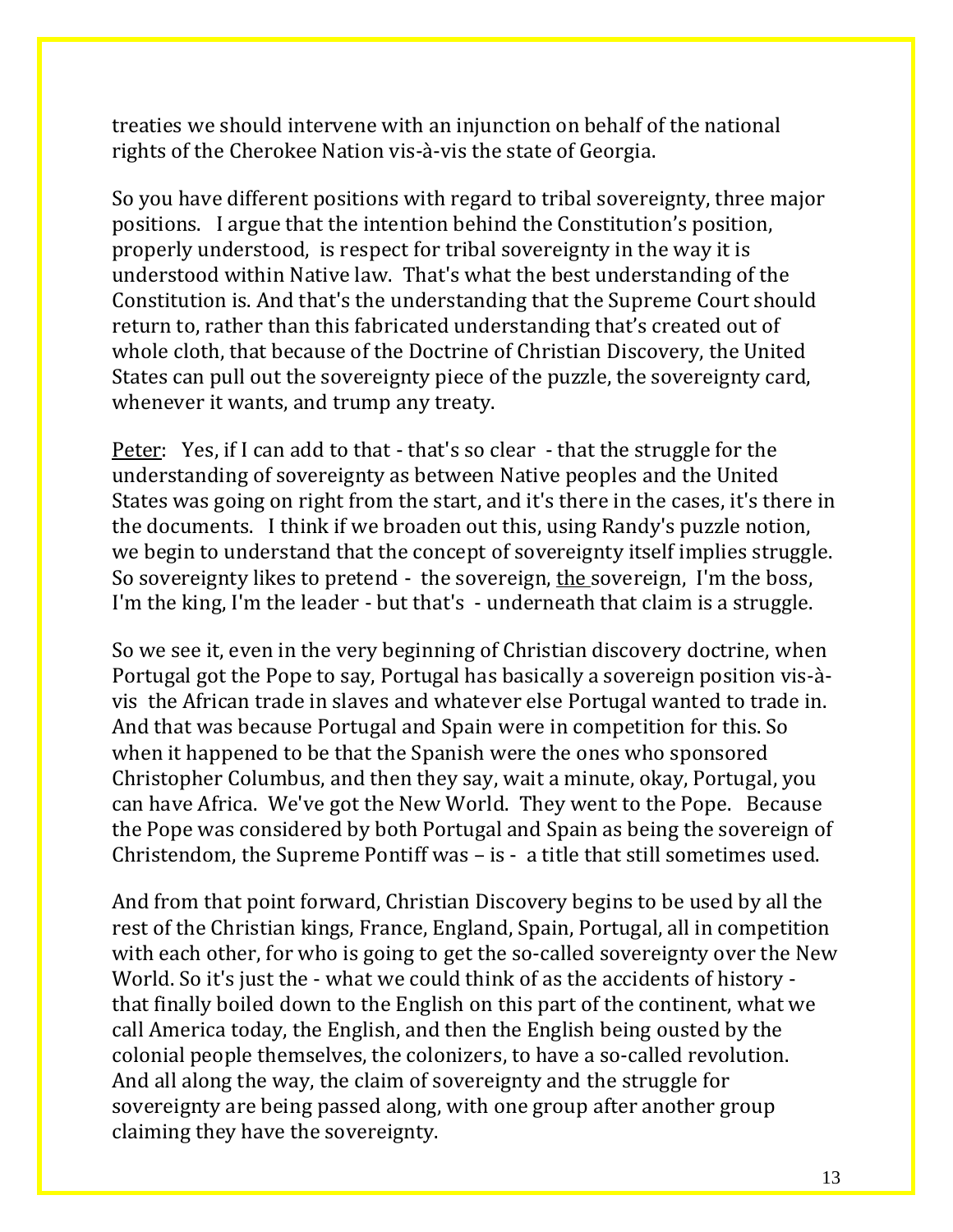treaties we should intervene with an injunction on behalf of the national rights of the Cherokee Nation vis-à-vis the state of Georgia.

So you have different positions with regard to tribal sovereignty, three major positions. I argue that the intention behind the Constitution's position, properly understood, is respect for tribal sovereignty in the way it is understood within Native law. That's what the best understanding of the Constitution is. And that's the understanding that the Supreme Court should return to, rather than this fabricated understanding that's created out of whole cloth, that because of the Doctrine of Christian Discovery, the United States can pull out the sovereignty piece of the puzzle, the sovereignty card, whenever it wants, and trump any treaty.

Peter: Yes, if I can add to that - that's so clear - that the struggle for the understanding of sovereignty as between Native peoples and the United States was going on right from the start, and it's there in the cases, it's there in the documents. I think if we broaden out this, using Randy's puzzle notion, we begin to understand that the concept of sovereignty itself implies struggle. So sovereignty likes to pretend - the sovereign, the sovereign, I'm the boss, I'm the king, I'm the leader - but that's - underneath that claim is a struggle.

So we see it, even in the very beginning of Christian discovery doctrine, when Portugal got the Pope to say, Portugal has basically a sovereign position vis-àvis the African trade in slaves and whatever else Portugal wanted to trade in. And that was because Portugal and Spain were in competition for this. So when it happened to be that the Spanish were the ones who sponsored Christopher Columbus, and then they say, wait a minute, okay, Portugal, you can have Africa. We've got the New World. They went to the Pope. Because the Pope was considered by both Portugal and Spain as being the sovereign of Christendom, the Supreme Pontiff was – is - a title that still sometimes used.

And from that point forward, Christian Discovery begins to be used by all the rest of the Christian kings, France, England, Spain, Portugal, all in competition with each other, for who is going to get the so-called sovereignty over the New World. So it's just the - what we could think of as the accidents of history that finally boiled down to the English on this part of the continent, what we call America today, the English, and then the English being ousted by the colonial people themselves, the colonizers, to have a so-called revolution. And all along the way, the claim of sovereignty and the struggle for sovereignty are being passed along, with one group after another group claiming they have the sovereignty.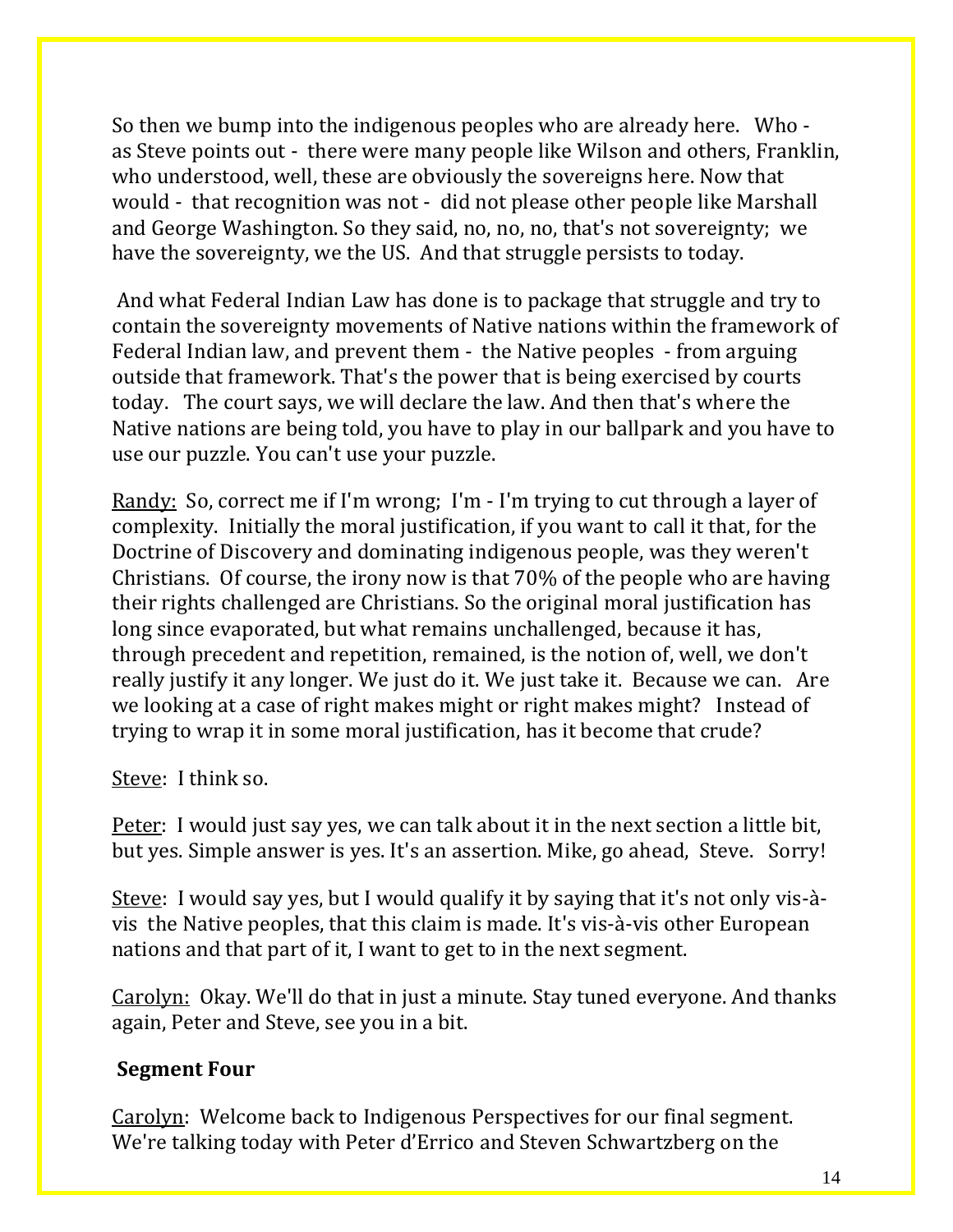So then we bump into the indigenous peoples who are already here. Who as Steve points out - there were many people like Wilson and others, Franklin, who understood, well, these are obviously the sovereigns here. Now that would - that recognition was not - did not please other people like Marshall and George Washington. So they said, no, no, no, that's not sovereignty; we have the sovereignty, we the US. And that struggle persists to today.

And what Federal Indian Law has done is to package that struggle and try to contain the sovereignty movements of Native nations within the framework of Federal Indian law, and prevent them - the Native peoples - from arguing outside that framework. That's the power that is being exercised by courts today. The court says, we will declare the law. And then that's where the Native nations are being told, you have to play in our ballpark and you have to use our puzzle. You can't use your puzzle.

Randy: So, correct me if I'm wrong; I'm - I'm trying to cut through a layer of complexity. Initially the moral justification, if you want to call it that, for the Doctrine of Discovery and dominating indigenous people, was they weren't Christians. Of course, the irony now is that 70% of the people who are having their rights challenged are Christians. So the original moral justification has long since evaporated, but what remains unchallenged, because it has, through precedent and repetition, remained, is the notion of, well, we don't really justify it any longer. We just do it. We just take it. Because we can. Are we looking at a case of right makes might or right makes might? Instead of trying to wrap it in some moral justification, has it become that crude?

Steve: I think so.

Peter: I would just say yes, we can talk about it in the next section a little bit, but yes. Simple answer is yes. It's an assertion. Mike, go ahead, Steve. Sorry!

Steve: I would say yes, but I would qualify it by saying that it's not only vis-àvis the Native peoples, that this claim is made. It's vis-à-vis other European nations and that part of it, I want to get to in the next segment.

Carolyn: Okay. We'll do that in just a minute. Stay tuned everyone. And thanks again, Peter and Steve, see you in a bit.

## **Segment Four**

Carolyn: Welcome back to Indigenous Perspectives for our final segment. We're talking today with Peter d'Errico and Steven Schwartzberg on the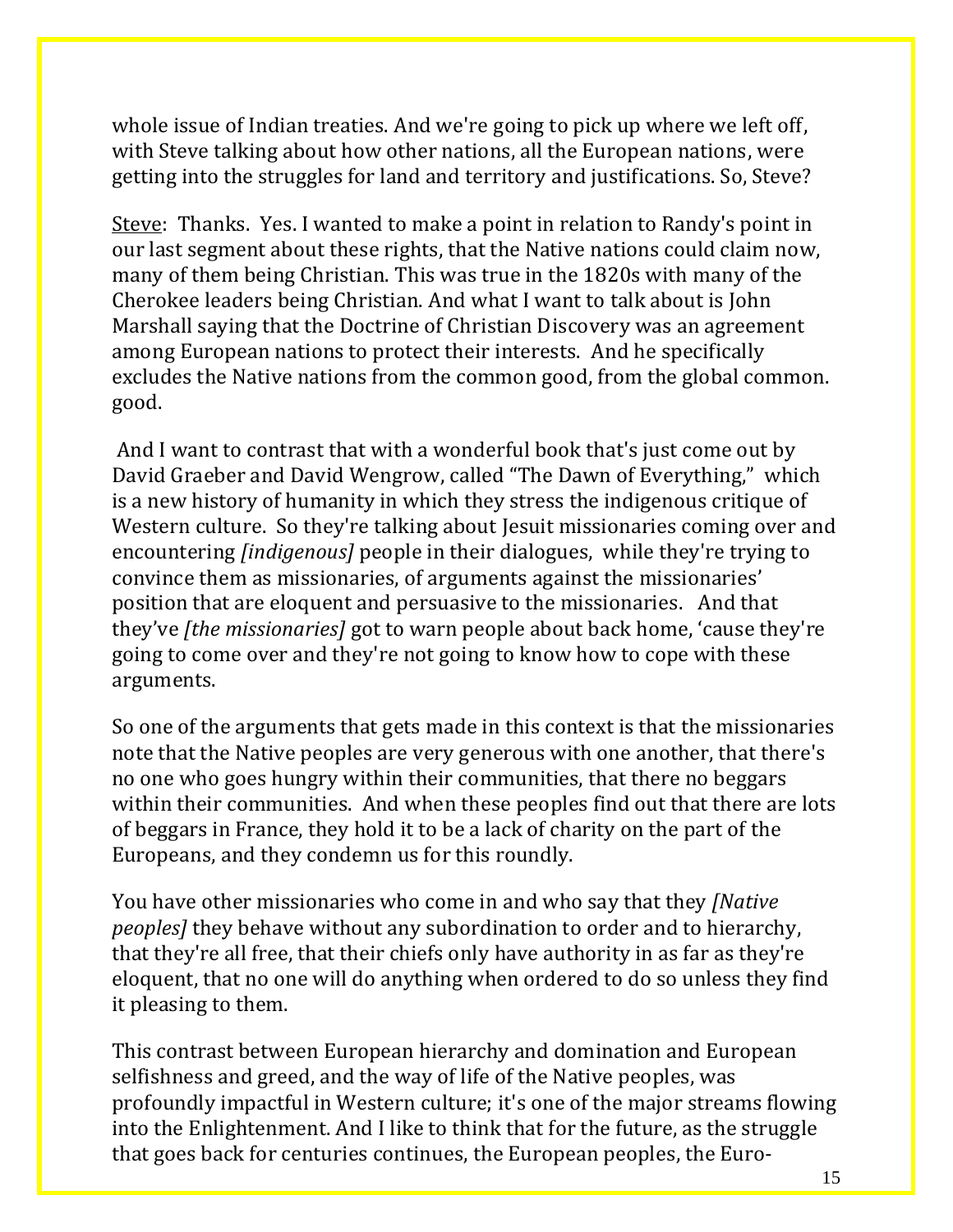whole issue of Indian treaties. And we're going to pick up where we left off, with Steve talking about how other nations, all the European nations, were getting into the struggles for land and territory and justifications. So, Steve?

Steve: Thanks. Yes. I wanted to make a point in relation to Randy's point in our last segment about these rights, that the Native nations could claim now, many of them being Christian. This was true in the 1820s with many of the Cherokee leaders being Christian. And what I want to talk about is John Marshall saying that the Doctrine of Christian Discovery was an agreement among European nations to protect their interests. And he specifically excludes the Native nations from the common good, from the global common. good.

And I want to contrast that with a wonderful book that's just come out by David Graeber and David Wengrow, called "The Dawn of Everything," which is a new history of humanity in which they stress the indigenous critique of Western culture. So they're talking about Jesuit missionaries coming over and encountering *[indigenous]* people in their dialogues, while they're trying to convince them as missionaries, of arguments against the missionaries' position that are eloquent and persuasive to the missionaries. And that they've *[the missionaries]* got to warn people about back home, 'cause they're going to come over and they're not going to know how to cope with these arguments.

So one of the arguments that gets made in this context is that the missionaries note that the Native peoples are very generous with one another, that there's no one who goes hungry within their communities, that there no beggars within their communities. And when these peoples find out that there are lots of beggars in France, they hold it to be a lack of charity on the part of the Europeans, and they condemn us for this roundly.

You have other missionaries who come in and who say that they *[Native peoples]* they behave without any subordination to order and to hierarchy, that they're all free, that their chiefs only have authority in as far as they're eloquent, that no one will do anything when ordered to do so unless they find it pleasing to them.

This contrast between European hierarchy and domination and European selfishness and greed, and the way of life of the Native peoples, was profoundly impactful in Western culture; it's one of the major streams flowing into the Enlightenment. And I like to think that for the future, as the struggle that goes back for centuries continues, the European peoples, the Euro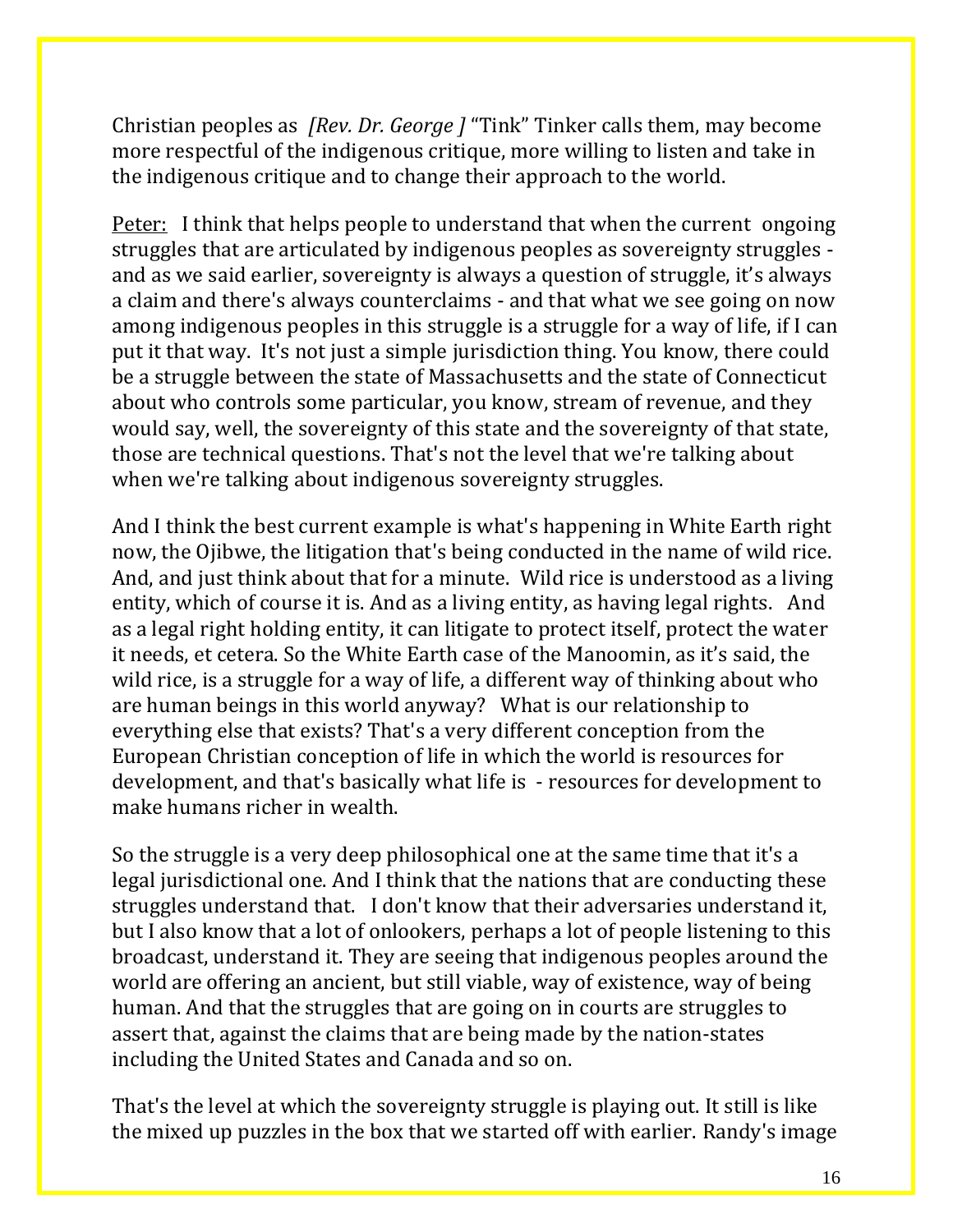Christian peoples as *[Rev. Dr. George ]* "Tink" Tinker calls them, may become more respectful of the indigenous critique, more willing to listen and take in the indigenous critique and to change their approach to the world.

Peter: I think that helps people to understand that when the current ongoing struggles that are articulated by indigenous peoples as sovereignty struggles and as we said earlier, sovereignty is always a question of struggle, it's always a claim and there's always counterclaims - and that what we see going on now among indigenous peoples in this struggle is a struggle for a way of life, if I can put it that way. It's not just a simple jurisdiction thing. You know, there could be a struggle between the state of Massachusetts and the state of Connecticut about who controls some particular, you know, stream of revenue, and they would say, well, the sovereignty of this state and the sovereignty of that state, those are technical questions. That's not the level that we're talking about when we're talking about indigenous sovereignty struggles.

And I think the best current example is what's happening in White Earth right now, the Ojibwe, the litigation that's being conducted in the name of wild rice. And, and just think about that for a minute. Wild rice is understood as a living entity, which of course it is. And as a living entity, as having legal rights. And as a legal right holding entity, it can litigate to protect itself, protect the water it needs, et cetera. So the White Earth case of the Manoomin, as it's said, the wild rice, is a struggle for a way of life, a different way of thinking about who are human beings in this world anyway? What is our relationship to everything else that exists? That's a very different conception from the European Christian conception of life in which the world is resources for development, and that's basically what life is - resources for development to make humans richer in wealth.

So the struggle is a very deep philosophical one at the same time that it's a legal jurisdictional one. And I think that the nations that are conducting these struggles understand that. I don't know that their adversaries understand it, but I also know that a lot of onlookers, perhaps a lot of people listening to this broadcast, understand it. They are seeing that indigenous peoples around the world are offering an ancient, but still viable, way of existence, way of being human. And that the struggles that are going on in courts are struggles to assert that, against the claims that are being made by the nation-states including the United States and Canada and so on.

That's the level at which the sovereignty struggle is playing out. It still is like the mixed up puzzles in the box that we started off with earlier. Randy's image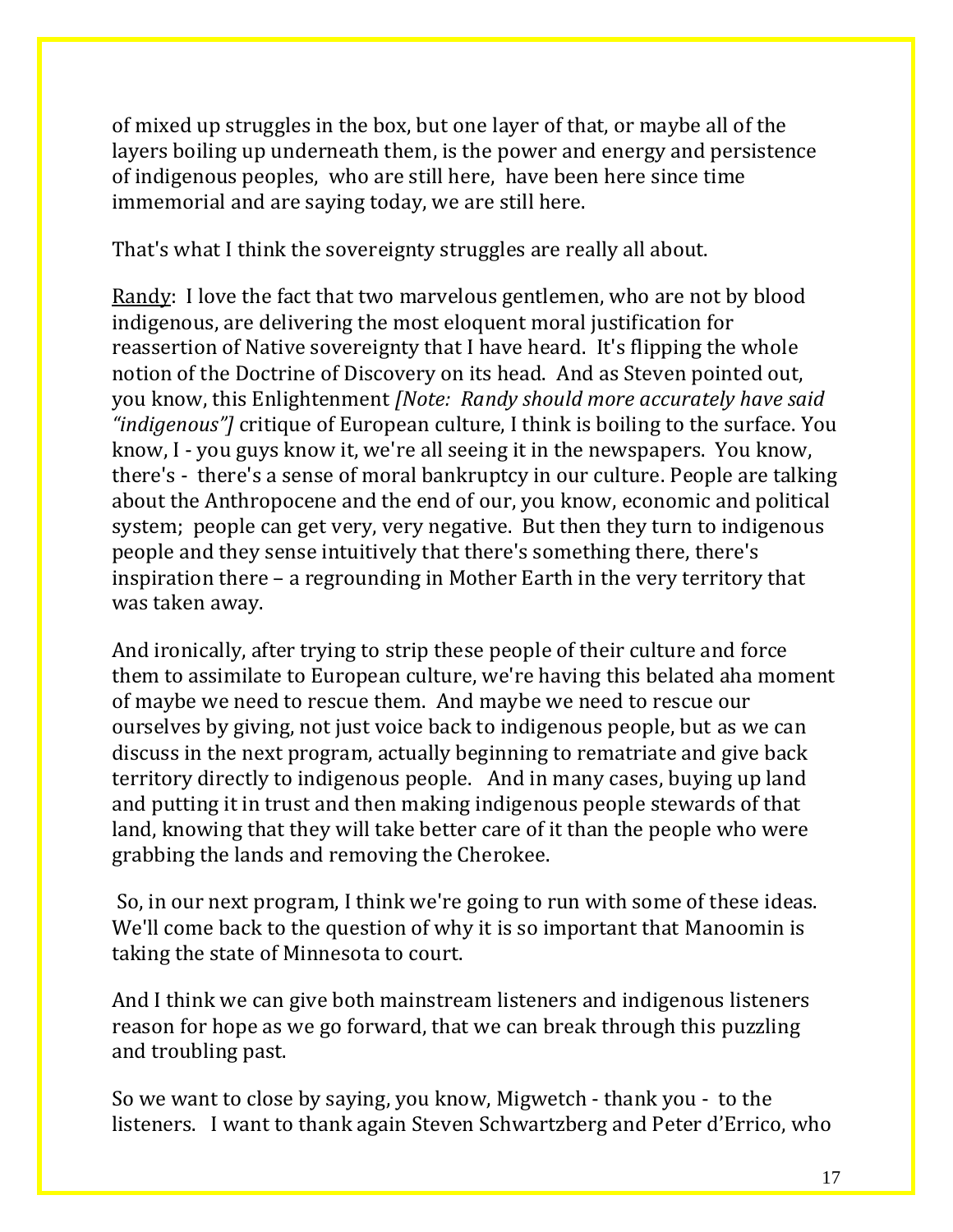of mixed up struggles in the box, but one layer of that, or maybe all of the layers boiling up underneath them, is the power and energy and persistence of indigenous peoples, who are still here, have been here since time immemorial and are saying today, we are still here.

That's what I think the sovereignty struggles are really all about.

Randy: I love the fact that two marvelous gentlemen, who are not by blood indigenous, are delivering the most eloquent moral justification for reassertion of Native sovereignty that I have heard. It's flipping the whole notion of the Doctrine of Discovery on its head. And as Steven pointed out, you know, this Enlightenment *[Note: Randy should more accurately have said "indigenous"]* critique of European culture, I think is boiling to the surface. You know, I - you guys know it, we're all seeing it in the newspapers. You know, there's - there's a sense of moral bankruptcy in our culture. People are talking about the Anthropocene and the end of our, you know, economic and political system; people can get very, very negative. But then they turn to indigenous people and they sense intuitively that there's something there, there's inspiration there – a regrounding in Mother Earth in the very territory that was taken away.

And ironically, after trying to strip these people of their culture and force them to assimilate to European culture, we're having this belated aha moment of maybe we need to rescue them. And maybe we need to rescue our ourselves by giving, not just voice back to indigenous people, but as we can discuss in the next program, actually beginning to rematriate and give back territory directly to indigenous people. And in many cases, buying up land and putting it in trust and then making indigenous people stewards of that land, knowing that they will take better care of it than the people who were grabbing the lands and removing the Cherokee.

So, in our next program, I think we're going to run with some of these ideas. We'll come back to the question of why it is so important that Manoomin is taking the state of Minnesota to court.

And I think we can give both mainstream listeners and indigenous listeners reason for hope as we go forward, that we can break through this puzzling and troubling past.

So we want to close by saying, you know, Migwetch - thank you - to the listeners. I want to thank again Steven Schwartzberg and Peter d'Errico, who